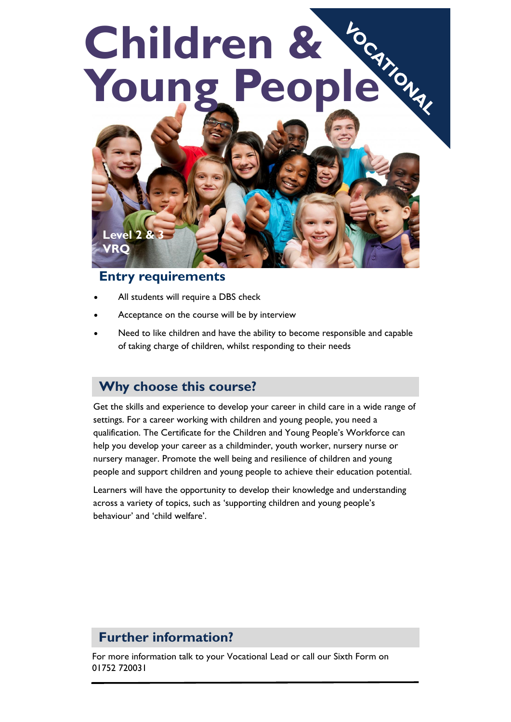# **Children &**  Young People



#### **Entry requirements**

- All students will require a DBS check
- Acceptance on the course will be by interview
- Need to like children and have the ability to become responsible and capable of taking charge of children, whilst responding to their needs

#### **Why choose this course?**

Get the skills and experience to develop your career in child care in a wide range of settings. For a career working with children and young people, you need a qualification. The Certificate for the Children and Young People's Workforce can help you develop your career as a childminder, youth worker, nursery nurse or nursery manager. Promote the well being and resilience of children and young people and support children and young people to achieve their education potential.

Learners will have the opportunity to develop their knowledge and understanding across a variety of topics, such as 'supporting children and young people's behaviour' and 'child welfare'.

#### **Further information?**

For more information talk to your Vocational Lead or call our Sixth Form on 01752 720031